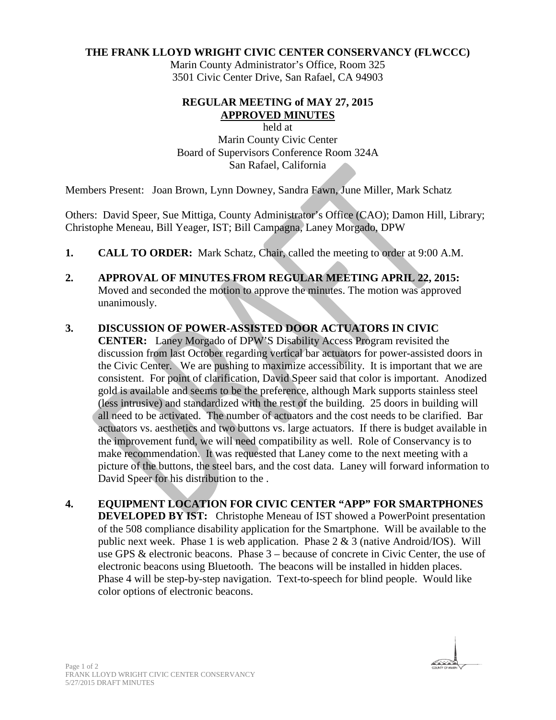## **THE FRANK LLOYD WRIGHT CIVIC CENTER CONSERVANCY (FLWCCC)**

Marin County Administrator's Office, Room 325 3501 Civic Center Drive, San Rafael, CA 94903

## **REGULAR MEETING of MAY 27, 2015 APPROVED MINUTES**

held at Marin County Civic Center Board of Supervisors Conference Room 324A San Rafael, California

Members Present: Joan Brown, Lynn Downey, Sandra Fawn, June Miller, Mark Schatz

Others: David Speer, Sue Mittiga, County Administrator's Office (CAO); Damon Hill, Library; Christophe Meneau, Bill Yeager, IST; Bill Campagna, Laney Morgado, DPW

- **1. CALL TO ORDER:** Mark Schatz, Chair, called the meeting to order at 9:00 A.M.
- **2. APPROVAL OF MINUTES FROM REGULAR MEETING APRIL 22, 2015:** Moved and seconded the motion to approve the minutes. The motion was approved unanimously.

## **3. DISCUSSION OF POWER-ASSISTED DOOR ACTUATORS IN CIVIC**

**CENTER:** Laney Morgado of DPW'S Disability Access Program revisited the discussion from last October regarding vertical bar actuators for power-assisted doors in the Civic Center. We are pushing to maximize accessibility. It is important that we are consistent. For point of clarification, David Speer said that color is important. Anodized gold is available and seems to be the preference, although Mark supports stainless steel (less intrusive) and standardized with the rest of the building. 25 doors in building will all need to be activated. The number of actuators and the cost needs to be clarified. Bar actuators vs. aesthetics and two buttons vs. large actuators. If there is budget available in the improvement fund, we will need compatibility as well. Role of Conservancy is to make recommendation. It was requested that Laney come to the next meeting with a picture of the buttons, the steel bars, and the cost data. Laney will forward information to David Speer for his distribution to the .

**4. EQUIPMENT LOCATION FOR CIVIC CENTER "APP" FOR SMARTPHONES DEVELOPED BY IST:** Christophe Meneau of IST showed a PowerPoint presentation of the 508 compliance disability application for the Smartphone. Will be available to the public next week. Phase 1 is web application. Phase  $2 \& 3$  (native Android/IOS). Will use GPS & electronic beacons. Phase 3 – because of concrete in Civic Center, the use of electronic beacons using Bluetooth. The beacons will be installed in hidden places. Phase 4 will be step-by-step navigation. Text-to-speech for blind people. Would like color options of electronic beacons.